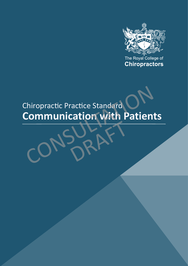

The Royal College of **Chiropractors** 

# Chiropractic Practice Standard **Communication with Patients** DRAFT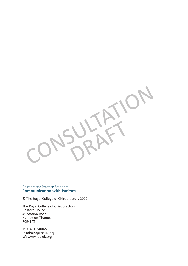CONSULTATION DRAFT

# Chiroprac�c Prac�ce Standard **Communication with Patients**

© The Royal College of Chiropractors 2022

The Royal College of Chiropractors Chiltern House 45 Station Road Henley-on-Thames RG9 1AT

T: 01491 340022 E: admin@rcc-uk.org W: www.rcc-uk.org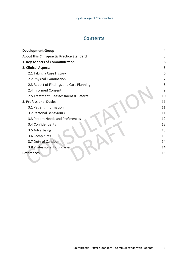# **Contents**

| <b>Development Group</b>                         | 4  |
|--------------------------------------------------|----|
| <b>About this Chiropractic Practice Standard</b> | 5  |
| 1. Key Aspects of Communication                  | 6  |
| 2. Clinical Aspects                              | 6  |
| 2.1 Taking a Case History                        | 6  |
| 2.2 Physical Examination                         | 7  |
| 2.3 Report of Findings and Care Planning         | 8  |
| 2.4 Informed Consent                             | 9  |
| 2.5 Treatment, Reassessment & Referral           | 10 |
| <b>3. Professional Duties</b>                    | 11 |
| 3.1 Patient Information                          | 11 |
| 3.2 Personal Behaviours                          | 11 |
| 3.3 Patient Needs and Preferences                | 12 |
| 3.4 Confidentiality                              | 12 |
| 3.5 Advertising                                  | 13 |
| 3.6 Complaints                                   | 13 |
| 3.7 Duty of Candour                              | 14 |
| 3.8 Professional Boundaries                      | 14 |
| <b>References</b>                                | 15 |
|                                                  |    |
|                                                  |    |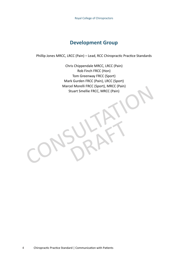# **Development Group**

<span id="page-3-0"></span>Phillip Jones MRCC, LRCC (Pain) - Lead, RCC Chiropractic Practice Standards

Warten Worellin FRCC, MRCC (Pain) Chris Chippendale MRCC, LRCC (Pain) Rob Finch FRCC (Hon) Tom Greenway FRCC (Sport) Mark Gurden FRCC (Pain), LRCC (Sport) Marcel Morelli FRCC (Sport), MRCC (Pain) Stuart Smellie FRCC, MRCC (Pain)

DRAFT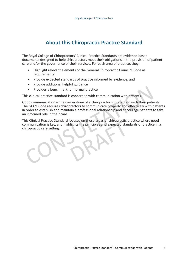# **About this Chiropractic Practice Standard**

<span id="page-4-0"></span>The Royal College of Chiropractors' Clinical Prac�ce Standards are evidence-based documents designed to help chiropractors meet their obligations in the provision of patient care and/or the governance of their services. For each area of practice, they:

- Highlight relevant elements of the General Chiropractic Council's Code as requirements
- Provide expected standards of practice informed by evidence, and
- Provide additional helpful guidance
- Provides a benchmark for normal practice

This clinical practice standard is concerned with communication with patients.

• Provides a benchmark for normal practice<br>
ins clinical practice standard is concerned with communication with patients.<br>
cood communication is the correctores of a chiropractor's interaction with their patien<br>
e GCC's Co Good communication is the cornerstone of a chiropractor's interaction with their patients. The GCC's Code requires chiropractors to communicate properly and effectively with patients in order to establish and maintain a professional relationship and encourage patients to take an informed role in their care.

lights the principles and expected stand This Clinical Practice Standard focuses on those areas of chiropractic practice where good communication is key, and highlights the principles and expected standards of practice in a chiropractic care setting.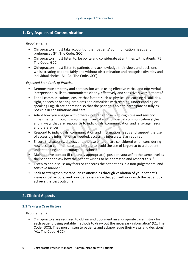# <span id="page-5-0"></span>**1. Key Aspects of Communication**

#### *Requirements*

- Chiropractors must take account of their patients' communication needs and preferences (F4: The Code, GCC).
- Chiropractors must listen to, be polite and considerate at all times with patients (F5: The Code, GCC).
- Chiropractors must listen to patients and acknowledge their views and decisions whilst treating patients fairly and without discrimination and recognise diversity and individual choice (A1, A4: The Code, GCC).

#### *Expected Standards of Prac�ce*

- Demonstrate empathy and compassion while using effective verbal and non-verbal interpersonal skills to communicate clearly, effectively and sensitively with patients.<sup>1</sup>
- For all communications, ensure that factors such as physical or learning disabilities, sight, speech or hearing problems and difficulties with reading, understanding or speaking English are addressed so that the patient is able to participate as fully as possible in consultations and care.<sup>2</sup>
- Demonstrate empathy and compassion while using effective verbal and non-vert<br>
interpersonal skills to communicate clearly, effectively and sensitively with patier<br>
 For all communications, ensure that factors such as p • Adapt how you engage with others (including those with cognitive and sensory impairments) through using different verbal and non-verbal communication styles, and in ways that are responsive to individuals' communication and language needs and preferences.<sup>1</sup>
	- Respond to individuals' communication and information needs and support the use of accessible information as needed, accessing interpreters as required. $1$
	- ponsive to individuals' communication<br>communication and information needs<br>in as needed, accessing interpreters as r<br>llect, and the use of idiom are considered<br>the and be sure to avoid the use of jargo<br>curage questions.<sup>2</sup><br> • Ensure that accents, dialect, and the use of idiom are considered when considering how best to communicate and be sure to avoid the use of jargon so to aid patient understanding and encourage questions.<sup>2</sup>
	- Maintain eye contact (if culturally appropriate), position yourself at the same level as the patient and ask how the patient wishes to be addressed and respect this .<sup>2</sup>
	- Listen to and discuss any fears or concerns the patient has in a non-judgemental and sensitive manner.<sup>2</sup>
	- Seek to strengthen therapeutic relationships through validation of your patient's views or behaviours, and provide reassurance that you will work with the patient to achieve the best outcome.

# **2. Clinical Aspects**

# **2.1 Taking a Case History**

# *Requirements*

• Chiropractors are required to obtain and document an appropriate case history for each patient 'using suitable methods to draw out the necessary information' (C1: The Code, GCC). They must 'listen to patients and acknowledge their views and decisions' (A1: The Code, GCC).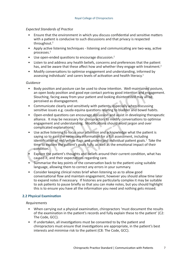# <span id="page-6-0"></span>**Expected Standards of Practice**

- Ensure that the environment in which you discuss confidential and sensitive matters with a patient is conducive to such discussions and that privacy is respected throughout.<sup>2</sup>
- Apply active listening techniques listening and communicating are two-way, active processes.<sup>1</sup>
- $\bullet$  Use open-ended questions to encourage discussion.<sup>2</sup>
- Listen to and address any health beliefs, concerns and preferences that the patient has, and be aware that these affect how and whether they engage with treatment.<sup>2</sup>
- Modify conversations to optimise engagement and understanding, informed by assessing individuals' and carers levels of activation and health literacy.<sup>1</sup>

# *Guidance*

- Body position and posture can be used to show intention. Well-maintained posture, an open body position and good eye contact portray good intention and engagement. Slouching, facing away from your patient and looking disinterested may all be perceived as disengagement.
- Communicate clearly and sensitively with patients, especially when discussing sensitive issues e.g. cauda equina questions relating to bladder and bowel habits.
- Open-ended questions can encourage discussion and assist in developing therapeutic alliance. It may be necessary for chiropractors to modify conversations to optimise engagement and understanding. Modifications should avoid jargon and over complicated explanations. $1$
- Body position and posture can be used to show intention. Well-maintained post<br>an open body position and good eye contact portray good intention and engager<br>slouching, facing away from your patient and looking disinterest standing. Modifications should avoid jans.<sup>1</sup><br>Draws your attention and acknowledge w<br>cessary information for a full assessmer<br>low flags and understand individual pat<br>ent's goals fully, as well as the emotionary<br>oughts and • Use active listening to focus your attention and acknowledge what the patient is saying so to gain the necessary information for a full assessment, including  $i$ dentification of red/yellow flags and understand individual patient goals.<sup>1</sup> Take the time to explore the patient's goals fully, as well as the emotional impact of their condition.
	- Explore the patient's thoughts and beliefs around their current condition, what has caused it, and their expectations regarding care.
	- Summarise the key points of the conversa�on back to the pa�ent using suitable language, allowing them to correct any errors in your summary.
	- Consider keeping clinical notes brief when listening so as to allow good conversational flow and maintain engagement, however you should allow time later to expand notes if necessary. If histories are par�cularly complex it may be suitable to ask patients to pause briefly so that you can make notes, but you should highlight this is to ensure you have all the information you need and nothing gets missed.

# **2.2 Physical Examination**

# *Requirements*

- When carrying out a physical examination, chiropractors 'must document the results of the examination in the patient's records and fully explain these to the patient' (C2: The Code, GCC).
- If undertaken, all investigations must be consented to by the patient and chiropractors must ensure that investigations are appropriate, in the patient's best interests and minimise risk to the patient (C8: The Code, GCC).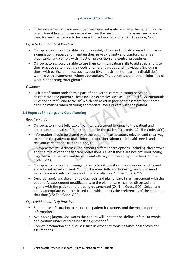<span id="page-7-0"></span>• If the assessment or care might be considered intimate or where the patient is a child or a vulnerable adult, consider and explain the need, during the assessments and care, for another person to be present to act as chaperone (D4: The Code, GCC).

# *Expected Standards of Prac�ce*

- Chiropractors should be able to appropriately obtain individuals' consent to physical examination, respect and maintain their privacy, dignity and comfort, as far as practicable, and comply with infection prevention and control procedures. $1$
- Chiropractors should be able to use their communication skills to aid adaptations to their prac�ce so to meet the needs of different groups and individuals (including those with particular needs such as cognitive impairment or learning disabilities). working with chaperones, where appropriate. The patient should remain informed of what is happening throughout. $1$

# *Guidance*

• Risk stratification tools form a part of non-verbal communication between chiropractor and patient.<sup>3</sup> These include examples such as STarT Back<sup>4</sup>, Bournemouth Questionnaire<sup>5a,5b</sup> and MYMOP<sup>6</sup> which can assist in patient assessment and shared decision making when deciding appropriate levels of care with the patient.

# **2.3 Report of Findings and Care Planning**

# *Requirements*

- Chiropractors must fully explain clinical assessment findings to the patient and document the results of the examination in the patient's records (C2: The Code, GCC).
- Information should be shared with the patient in an accurate, relevant and clear way to enable the patient to make informed decisions about their health needs and relevant care options (E1: The Code, GCC).
- Guidance<br>
 Risk stratification tools form a part of non-verbal communication between<br>
chicopractor and patient.<sup>3</sup> These include examples such as STarT Back<sup>4</sup>, Bournem<br>
Questionnaire<sup>5a,5b</sup> and MYMOP<sup>6</sup> which can assist r explain clinical assessment findings to<br>f the examination in the patient's record<br>hared with the patient in an accurate, r<br>make informed decisions about their h<br>1: The Code, GCC).<br>uss with patients different care options Chiropractors must discuss with patients different care options, including alternatives and the role of other healthcare professionals even if these are not provided locally, together with the risks and benefits and efficacy of different approaches (F1: The Code, GCC).
	- Chiropractors should encourage patients to ask questions to aid understanding and allow for informed consent. You must answer fully and honestly, bearing in mind patients are unlikely to possess clinical knowledge (F1: The Code, GCC).
	- Develop, apply and document a diagnosis and plan of care in full agreement with the patient. All subsequent modifications to the plan of care must be discussed and agreed with the patient and properly documented (C4: The Code, GCC). Select and apply appropriate evidence-based care which meets the preferences of the patient at that time (C5: The Code, GCC).

# **Expected Standards of Practice**

- Summarise information to ensure the patient has understood the most important information. $2$
- Avoid using jargon. Use words the patient will understand, define unfamiliar words and confirm understanding by asking questions. $2$
- Convey information and discuss issues in ways that avoid negative descriptors and assumptions. $1$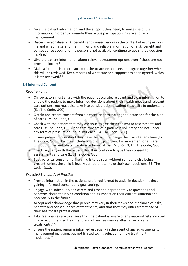- <span id="page-8-0"></span>• Give the patient information, and the support they need, to make use of the information, in order to promote their active participation in care and selfmanagement.<sup>2</sup>
- Discuss personalised risk, benefits and consequences in the context of each person's life and what matters to them.<sup>7</sup> If valid and reliable information on risk, benefit and consequence specific to the person is not available, continue to use shared decision making.<sup>7</sup>
- Give the patient information about relevant treatment options even if these are not provided locally.<sup>2</sup>
- Make a joint decision or plan about the treatment or care, and agree together when this will be reviewed. Keep records of what care and support has been agreed, which is later reviewed.7,8

# **2.4 Informed Consent**

#### *Requirements*

- Requirements<br>
 Chiropractors must share with the patient accurate, relevant and clear informationable the patient to make informed decisions about their health needs and relate care options. You must also take into consi • Chiropractors must share with the patient accurate, relevant and clear information to enable the patient to make informed decisions about their health needs and relevant care options. You must also take into consideration a patient's capacity to understand (E1: The Code, GCC)
	- Obtain and record consent from a patient prior to starting their care and for the plan of care (E2: The Code, GCC)
	- that they continue to give their consent<br>
	C). and that consent of a patient is volur<br>
	undue influence (E4: The Code, GCC)<br>
	and they have the right to change their<br>
	ay include withdrawing consent for an e<br>
	crimination or fi • Check with the patient that they continue to give their consent to assessments and care (E3: The Code, GCC). and that consent of a patient is voluntary and not under any form of pressure or undue influence (E4: The Code, GCC)
	- Ensure patients understand they have the right to change their mind at any time (F2: The Code, GCC). This may include withdrawing consent for an element or all care without judgement, discrimination or financial loss (A4, B6, E3, E4: The Code, GCC).
	- Check regularly with the patient that they continue to give their consent to assessments and care (E3: The Code, GCC).
	- Seek parental consent first if a child is to be seen without someone else being present, unless the child is legally competent to make their own decisions (E5: The Code, GCC).

# *Expected Standards of Prac�ce*

- Provide information in the patients preferred format to assist in decision making, gaining informed consent and goal setting. $7$
- Engage with individuals and carers and respond appropriately to questions and concerns about their MSK condition and its impact on their current situation and potentially in the future. $1$
- Accept and acknowledge that people may vary in their views about balance of risks, benefits and consequences of treatments, and that they may differ from those of their healthcare professionals.<sup>7</sup>
- Take reasonable care to ensure that the patient is aware of any material risks involved in any recommended treatment, and of any reasonable alternative or variant treatments.<sup>9, 10</sup>
- Ensure the patient remains informed especially in the event of any adjustments to management including, but not limited to, introduction of new treatment modalities. $11$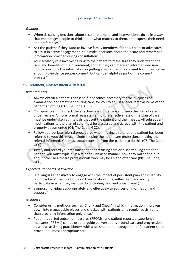#### <span id="page-9-0"></span>*Guidance*

- When discussing decisions about tests, treatments and interventions, do so in a way that encourages people to think about what ma�ers to them, and express their needs and preferences.<sup>7</sup>
- Ask the patient if they want to involve family members, friends, carers or advocates to assist in active engagement, help make decisions about their care and remember information provided during consultations.<sup>7</sup>
- Your advisory role involves talking to the patient to make sure they understand the risks and benefits of their treatment, so that they can make an informed decision. Simply providing the information or getting a signature on a consent form may not be enough to evidence proper consent, but can be helpful as part of the consent process.<sup>9</sup>

#### **2.5 Treatment, Reassessment & Referral**

#### *Requirements*

- Always obtain a patient's consent if it becomes necessary for the purposes of examination and treatment during care, for you to adjust and/or remove items of the patient's clothing (E6: The Code, GCC).
- Requirements<br>
 Always obtain a patient's consent if it becomes necessary for the purposes of<br>
examination and teatment during care, for you to adjust and/or remove items o<br>
patient's clothing (E6: The Code, GCC).<br>
 Chiro • Chiropractors must check the effec�veness of the care and keep the plan of care under review. A more formal reassessment of the effectiveness of the plan of care must be undertaken at intervals that suit the patient and their needs. All subsequent modifications to the plan of care must be discussed and agreed with the patient and properly documented (C4: The Code, GCC).
	- n of care must be discussed and agreed<br>C4: The Code, GCC).<br>Tral procedures when making a referral<br>st include keeping the healthcare profe<br>nust obtain consent from the patient to<br>reasons for either refusing care or disco<br>in • Follow appropriate referral procedures when making a referral or a patient has been referred to you; this must include keeping the healthcare professional making the referral informed. You must obtain consent from the patient to do this (C7: The Code, GCC).
	- Jus�fy and record your reasons for either refusing care or discon�nuing care for a patient. You must explain, in a fair and unbiased manner, how they might find out about other healthcare professionals who may be able to offer care (B8: The Code, GCC).

#### *Expected Standards of Prac�ce*

- Use language sensitively to engage with the impact of persistent pain and disability on individuals' lives, including on their relationships, self-esteem and ability to participate in what they want to do (including paid and unpaid work). $1$
- Signpost individuals appropriately and effectively to sources of information and support.<sup>1</sup>

#### *Guidance*

- Consider using methods such as 'Chunk and Check' in which information in broken down into manageable pieces and checked with patients on a regular basis, rather than providing information only once. $7$
- Patient reported outcome measures (PROMs) and patient reported experience measures (PREMs) can be used to guide conversations around care and progression as well as assisting practitioners with assessment and management of a patient so to provide the most appropriate care.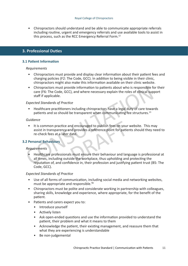<span id="page-10-0"></span>• Chiropractors should understand and be able to communicate appropriate referrals including routine, urgent and emergency referrals and use available tools to assist in this process, such as the RCC Emergency Referral Form.<sup>12</sup>

# **3. Professional Duties**

#### **3.1 Patient Information**

#### *Requirements*

- Chiropractors must provide and display clear information about their patient fees and charging policies (F2: The Code, GCC). In addition to being visible in their clinic, chiropractors might also make this information available on their clinic website.
- Chiropractors must provide information to patients about who is responsible for their care (F6: The Code, GCC), and where necessary explain the roles of clinical support staff if applicable.

#### **Expected Standards of Practice**

• Healthcare practitioners including chiropractors have a legal duty of care towards patients and so should be transparent when communicating fee structures.<sup>13</sup>

#### *Guidance*

• Chiropractors must provide information to patients about who is responsible for<br>
care (F6: The Code, GCC), and where necessary explain the roles of clinical suppor<br>
staff if applicable.<br>
Expected Standards of Practice<br>
• nd encouraged to publish fees on your was provided a reference point for patient<br>date. • It is common practice and encouraged to publish fees on your website. This may assist in transparency and provides a reference point for patients should they need to re-check fees at a later date.

# **3.2 Personal Behaviours**

# *Requirements*

• Healthcare professionals must ensure their behaviour and language is professional at all times, including outside the workplace, thus upholding and protecting the reputation of, and confidence in, their profession and justifying patient trust (B5: The Code, GCC).

# **Expected Standards of Practice**

- Use of all forms of communication, including social media and networking websites, must be appropriate and responsible.<sup>14</sup>
- Chiropractors must be polite and considerate working in partnership with colleagues, sharing skills, knowledge and experience, where appropriate, for the benefit of the patient.
- Patients and carers expect you to:
	- Introduce yourself
	- Actively listen
	- Ask open-ended questions and use the information provided to understand the patient, their problem and what it means to them
	- Acknowledge the patient, their existing management, and reassure them that what they are experiencing is understandable
	- Be non-judgemental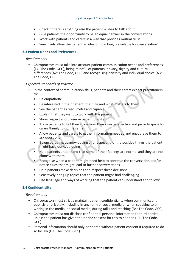- <span id="page-11-0"></span>• Check if there is anything else the patient wishes to talk about
- Give patients the opportunity to be an equal partner in the conversations
- Work with patients and carers in a way that provides mutual trust
- Sensitively allow the patient an idea of how long is available for conversation<sup>2</sup>

# **3.3 Patient Needs and Preferences**

#### *Requirements*

• Chiropractors must take into account patient communication needs and preferences (F4: The Code, GCC), being mindful of patients' privacy, dignity and cultural differences (A2: The Code, GCC) and recognising diversity and individual choice (A3: The Code, GCC).

# **Expected Standards of Practice**

- In the context of communication skills, patients and their carers expect practition<br>
 Be empathetic<br>
 Be interested in their patient, their life and what matters to them<br>
 See the patient as resourceful and capable<br> In the context of communication skills, patients and their carers expect practitioners to:
	- Be empathetic
	- Be interested in their patient, their life and what matters to them
	- See the patient as resourceful and capable
	- Explain that they want to work with the patient
	- Show respect and preserve patient dignity
	- Allow patients to tell their story from their own perspective and provide space for carers/family to do the same
	- I their story from their own perspective<br>the same<br>carers to gather information needed and<br>nowledging and respecting of the posit<br>eloing<br>stand that some of their feelings are no<br>atient might need help to continue the • Allow patients and carers to gather information needed and encourage them to ask questions
	- Be encouraging, acknowledging and respecting of the positive things the patient might have done/be doing
	- Help patients understand that some of their feelings are normal and they are not alone with them
	- Recognise when a patient might need help to continue the conversation and/or notice clues that might lead to further conversations
	- Help patients make decisions and respect these decisions
	- Sensitively bring up topics that the patient might find challenging
	- Use language and ways of working that the patient can understand and follow<sup>2</sup>

# **3.4 Confidentiality**

# *Requirements*

- Chiropractors must strictly maintain patient confidentiality when communicating publicly or privately, including in any form of social media or when speaking to or writing in the media, on social media, during talks and teaching (B4: The Code, GCC).
- Chiropractors must not disclose confidential personal information to third parties unless the patient has given their prior consent for this to happen (H1: The Code, GCC).
- Personal information should only be shared without patient consent if required to do so by law (H2: The Code, GCC).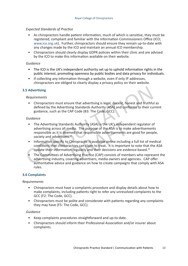# <span id="page-12-0"></span>**Expected Standards of Practice**

- As chiropractors handle patient information, much of which is sensitive, they must be registered, compliant and familiar with the Information Commissioners Office (ICO; [www.ico.org.uk\)](https://www.ico.org.uk). Further, chiropractors should ensure they remain up-to-date with any changes made by the ICO and maintain an annual ICO membership.
- Chiropractors should clearly display GDPR policies within their clinic and are advised by the ICO to make this information available on their website.

# *Guidance*

- The ICO is the UK's independent authority set up to uphold information rights in the public interest, promoting openness by public bodies and data privacy for individuals.
- If collecting any information through a website, even if only IP addresses, chiropractors are obliged to clearly display a privacy policy on their website.

# **3.5 Adver�sing**

# *Requirements*

• Chiropractors must ensure that advertising is legal, decent, honest and truthful as defined by the Advertising Standards Authority (ASA) and conforms to their current guidance, such as the CAP Code (B3: The Code, GCC).

#### *Guidance*

- 5 Advertising<br>
 Chiropractors must ensure that advertising is legal, decent, honest and truthful a<br>
defined by the Advertising Standards Authority (ASA) and conforms to their curre<br>
guidance, such as the CAP Code (B3: Th • The Advertising Standards Authority (ASA) is the UK's independent regulator of advertising across all media. The purpose of the ASA is to make advertisement responsible as it is deemed that responsible advertisements are advertising across all media. The purpose of the ASA is to make advertisements responsible as it is deemed that responsible advertisements are good for people, society and advertisers.<sup>15</sup>
	- Information specific to Chiropractic is available online including a full list of medical conditions that chiropractors can claim to treat. It is important to note that the ASA update their information regularly and their decisions are evidence-based.<sup>15</sup>
	- The Committees of Advertising Practice (CAP) consists of members who represent the advertising industry, covering advertisers, media owners and agencies. CAP offer authoritative advice and guidance on how to create campaigns that comply with ASA rules.

# **3.6 Complaints**

#### *Requirements*

- Chiropractors must have a complaints procedure and display details about how to make complaints, including patients right to refer any unresolved complaints to the GCC (F2: The Code, GCC).
- Chiropractors must be polite and considerate with patients regarding any complaints they may have (F5: The Code, GCC).

# *Guidance*

- Keep complaints procedures straightforward and up-to-date.
- Chiropractors should inform their Professional Association and/or insurer about complaints.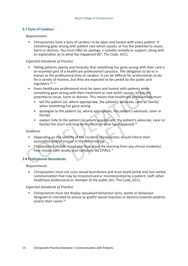# <span id="page-13-0"></span>**3.7 Duty of Candour**

#### *Requirements*

• Chiropractors have a duty of candour to be open and honest with every patient. If something goes wrong with patient care which causes, or has the potential to cause, harm or distress. You must offer an apology, a suitable remedy or support, along with an explanation as to what has happened (B7: The Code, GCC).

# *Expected Standards of Prac�ce*

- Telling patients openly and honestly that something has gone wrong with their care is an essential part of a healthcare professional's practice. The obligation to do so is known as the professional duty of candour. It can be difficult for professionals to do for a variety of reasons, but they are expected to be candid by the public and regulators.<sup>16, 17</sup>
- Every healthcare professional must be open and honest with patients when<br>something goes wrong with their treatment or care which causes, or has the<br>potential to cause, harm or distress. This means that healthcare profess • Every healthcare professional must be open and honest with patients when something goes wrong with their treatment or care which causes, or has the potential to cause, harm or distress. This means that healthcare professionals must:
	- tell the patient (or, where appropriate, the patient's advocate, carer or family) when something has gone wrong
	- apologise to the patient (or, where appropriate, the patient's advocate, carer or family)
	- explain fully to the patient (or, where appropriate, the patient's advocate, carer or family) the short and long-term effects of what has happened.<sup>18</sup>

#### *Guidance*

- d long-term effects of what has happen<br>d long-term effects of what has happen<br>ity of the incident, chiropractors should<br>rer in the first instance.<br>port and thus share the learning from a<br>, and nationally via CPiRLS.<sup>19</sup> • Depending on the severity of the incident, chiropractors should inform their association and/or insurer in the first instance.
- Chiropractors should report and thus share the learning from any clinical incidents/ near misses both locally, and nationally via CPIRLS.<sup>19</sup>

# **3.8 Professional Boundaries**

#### *Requirements*

• Chiropractors must not cross sexual boundaries and must avoid verbal and non-verbal communication that may be misconstrued or misinterpreted by a patient, staff, other healthcare professional or member of the public (D1: The Code, GCC).

# *Expected Standards of Prac�ce*

• Chiropractors must not display sexualised behaviour (acts, words or behaviour designed or intended to arouse or gratify sexual impulses or desires) towards patients and/or their carers.<sup>20</sup>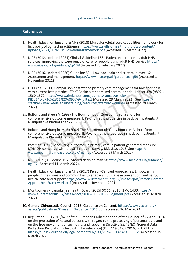# <span id="page-14-0"></span>**References**

- 1. Health Education England & NHS (2018) Musculoskeletal core capabilities framework for first point of contact practitioners. https://www.skillsforhealth.org.uk/wp-content/ [uploads/2021/01/Musculoskeletal-framework.pdf](https://www.skillsforhealth.org.uk/wp-content/uploads/2021/01/Musculoskeletal-framework.pdf) (Accessed 15 March 2022)
- 2. NICE (2012, updated 2021) Clinical Guideline 138 Patient experience in adult NHS services: improving the experience of care for people using adult NHS service https:// [www.nice.org.uk/guidance/cg138](https://www.nice.org.uk/guidance/cg138) (Accessed 23 February 2022)
- 3. NICE (2016, updated 2020) Guideline 59 Low back pain and sciatica in over 16s: Assessment and management. https://www.nice.org.uk/guidance/ng59 (Accessed 1 November 2021)
- Hill J et al (2011) Comparison of stratified primary care management for low back part<br>with current best practicle (STarT Back): a randomised controlled trial. Lancet 378 (98<br>1560-1572. https://www.thelancet.com/journals/l 4. Hill J et al (2011) Comparison of stratified primary care management for low back pain with current best practice (STarT Back): a randomised controlled trial. Lancet 378 (9802), 1560-1572. https://www.thelancet.com/journals/lancet/article/ PIIS0140-6736%2811%2960937-9/fulltext (Accessed 29 March 2022). See h�ps:// startback.hfac.keele.ac.uk/training/resources/startback-online/ (Accessed 29 March 2022).
- 5a. Bolton J and Breen A (1999) The Bournemouth Questionnaire: a short-form comprehensive outcome measure. I. Psychometric properties in back pain patients. J Manipulative Physiol Ther 22(8):503-10
- 2002) The Bournemouth Questionnaire<br>
2002) The Bournemouth Questionnaire<br>
easure. II. Psychometric properties in no<br>
25(3):141-148<br>
outcomes in primary care: a patient ge<br>
e SF-36 health survey. BMJ 312, 1016. S<br>
co.uk/mym 5b. Bolton J and Humphreys B (2002) The Bournemouth Questionnaire: A short-form comprehensive outcome measure. II. Psychometric proper�es in neck pain pa�ents. J Manipulative Physiol Ther 25(3):141-148
- 6. Paterson (1996) Measuring outcomes in primary care: a patient generated measure, MYMOP, compared with the SF-36 health survey. BMJ 312, 1016. See https:// www.meaningfulmeasures.co.uk/mymop (Accessed 29 March 2022).
- 7. NICE (2021) Guideline 197 Shared decision making https://www.nice.org.uk/guidance/ [ng197](https://www.nice.org.uk/guidance/ng197) (Accessed 11 March 2022).
- 8. Health Education England & NHS (2017) Person-Centred Approaches: Empowering people in their lives and communities to enable an upgrade in prevention, wellbeing, health. care and support https://www.skillsforhealth.org.uk/images/pdf/Person-Centred-[Approaches-Framework.pdf](https://www.skillsforhealth.org.uk/images/pdf/Person-Centred-Approaches-Framework.pdf) (Accessed 1 November 2021)
- 9. Montgomery v Lanarkshire Health Board [2015] SC 11 [2015] 1 AC 1430. https:// [www.supremecourt.uk/cases/docs/uksc-2013-0136-judgment.pdf](https://www.supremecourt.uk/cases/docs/uksc-2013-0136-judgment.pdf) (Accessed 15 March 2022)
- 10. General Chiroprac�c Council (2016) Guidance on Consent. h�ps://www.gcc-uk.org/ assets/publications/Consent\_Guidance\_2016.pdf (accessed 16 May 2022).
- 11. Regulation (EU) 2016/679 of the European Parliament and of the Council of 27 April 2016 on the protec�on of natural persons with regard to the processing of personal data and on the free movement of such data, and repealing Directive 95/46/EC (General Data Protection Regulation) (Text with EEA relevance) (OJ L 119 04.05.2016, p. 1, CELEX: [h�ps://eur-lex.europa.eu/legal-content/EN/TXT/?uri=CELEX:32016R0679](https://eur-lex.europa.eu/legal-content/EN/TXT/?uri=CELEX:32016R0679) (Accessed 15 March 2022).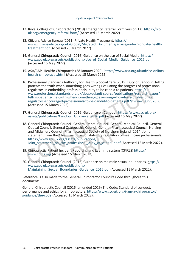- 12. Royal College of Chiropractors (2019) Emergency Referral Form version 1.0. https://rcc[uk.org/emergency-referral-form/](https://rcc-uk.org/emergency-referral-form/) (Accessed 15 March 2022)
- 13. Citizens Advice Bureau (2011) Private Health Treatment. https:// www.citizensadvice.org.uk/Global/Migrated Documents/adviceguide/h-private-health[treatment.pdf](https://www.citizensadvice.org.uk/Global/Migrated_Documents/adviceguide/h-private-health-treatment.pdf) (Accessed 29 March 2022)
- 14. General Chiroprac�c Council (2016) Guidance on the use of Social Media. h�ps:// www.gcc-uk.org/assets/publications/Use\_of\_Social\_Media\_Guidance\_2016.pdf (accessed 16 May 2022).
- 15. ASA/CAP -Health: Chiroprac�c (28 January 2020). [h�ps://www.asa.org.uk/advice-online/](https://www.asa.org.uk/advice-online/health-chiropractic.html) [health-chiroprac�c.html](https://www.asa.org.uk/advice-online/health-chiropractic.html) (Accessed 15 March 2022)
- 16. Professional Standards Authority for Health & Social Care (2019) Duty of Candour: Telling patients the truth when something goes wrong Evaluating the progress of professional regulators in embedding professionals' duty to be candid to patients. https:// www.professionalstandards.org.uk/docs/default-source/publications/research-paper/ telling-patients-the-truth-when-something-goes-wrong---how-have-professionalregulators-encouraged-professionals-to-be-candid-to-pa�ents.pdf?sfvrsn=100f7520\_6 (Accessed 15 March 2022)
- 17. General Chiroprac�c Council (2016) Guidance on Candour. h�ps://www.gcc-uk.org/ assets/publications/Candour\_Guidance\_2016.pdf (accessed 16 May 2022).
- 18. General Chiroprac�c Council, General Dental Council, General Medical Council, General Optical Council, General Osteopathic Council, General Pharmaceutical Council, Nursing and Midwifery Council, Pharmaceu�cal Society of Northern Ireland (2014) Joint statement from the Chief Executives of statutory regulators of healthcare professionals. https://www.gcc uk.org/assets/publications/ Joint statement on the professional duty of candour.pdf (Accessed 15 March 2022). paramis the truth where something goes wrong evaluating the progression procession<br>regulators in embedding professionals' duty to be candid to patients. https://<br>www.professionalstandards.org.uk/docs/default-source/publica il, General Dental Council, General Me<br>teopathic Council, General Pharmaceu<br>rmaceutical Society of Northern Irelan<br>xecutives of statutory regulators of hea<br>sets/publications/<br>rofessional\_duty\_of\_candour.pdf (Acce<br>t Reporti
- 19. Chiropractic Patient Incident Reporting and Learning system (CPiRLS) https:// www.cpirls.org (Accessed 15 March 2022).
- 20. General Chiropractic Council (2016) Guidance on maintain sexual boundaries. https:// www.gcc-uk.org/assets/publications/ Maintaining Sexual Boundaries Guidance 2016.pdf (Accessed 15 March 2022).

Reference is also made to the General Chiropractic Council's Code throughout this document:

General Chiroprac�c Council (2016, amended 2019) The Code: Standard of conduct, performance and ethics for chiropractors. https://www.gcc-uk.org/i-am-a-chiropractor/ [guidance/the-code](https://www.gcc-uk.org/i-am-a-chiropractor/guidance/the-code) (Accessed 15 March 2022).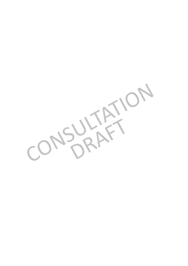